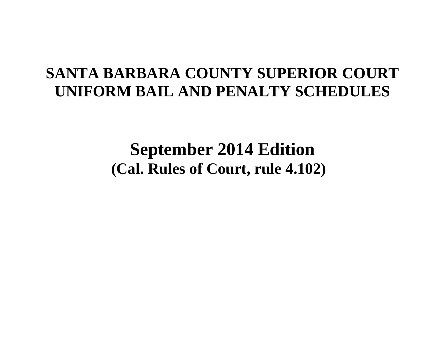# **SANTA BARBARA COUNTY SUPERIOR COURT UNIFORM BAIL AND PENALTY SCHEDULES**

**September 2014 Edition (Cal. Rules of Court, rule 4.102)**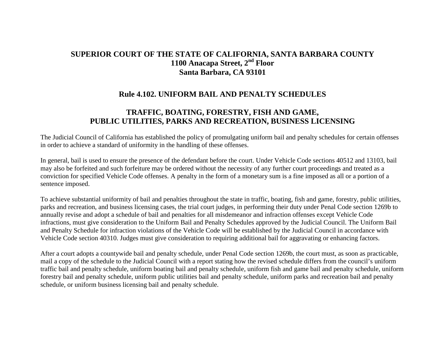# **SUPERIOR COURT OF THE STATE OF CALIFORNIA, SANTA BARBARA COUNTY 1100 Anacapa Street, 2nd Floor Santa Barbara, CA 93101**

# **Rule 4.102. UNIFORM BAIL AND PENALTY SCHEDULES**

# **TRAFFIC, BOATING, FORESTRY, FISH AND GAME, PUBLIC UTILITIES, PARKS AND RECREATION, BUSINESS LICENSING**

The Judicial Council of California has established the policy of promulgating uniform bail and penalty schedules for certain offenses in order to achieve a standard of uniformity in the handling of these offenses.

In general, bail is used to ensure the presence of the defendant before the court. Under Vehicle Code sections 40512 and 13103, bail may also be forfeited and such forfeiture may be ordered without the necessity of any further court proceedings and treated as a conviction for specified Vehicle Code offenses. A penalty in the form of a monetary sum is a fine imposed as all or a portion of a sentence imposed.

To achieve substantial uniformity of bail and penalties throughout the state in traffic, boating, fish and game, forestry, public utilities, parks and recreation, and business licensing cases, the trial court judges, in performing their duty under Penal Code section 1269b to annually revise and adopt a schedule of bail and penalties for all misdemeanor and infraction offenses except Vehicle Code infractions, must give consideration to the Uniform Bail and Penalty Schedules approved by the Judicial Council. The Uniform Bail and Penalty Schedule for infraction violations of the Vehicle Code will be established by the Judicial Council in accordance with Vehicle Code section 40310. Judges must give consideration to requiring additional bail for aggravating or enhancing factors.

After a court adopts a countywide bail and penalty schedule, under Penal Code section 1269b, the court must, as soon as practicable, mail a copy of the schedule to the Judicial Council with a report stating how the revised schedule differs from the council's uniform traffic bail and penalty schedule, uniform boating bail and penalty schedule, uniform fish and game bail and penalty schedule, uniform forestry bail and penalty schedule, uniform public utilities bail and penalty schedule, uniform parks and recreation bail and penalty schedule, or uniform business licensing bail and penalty schedule.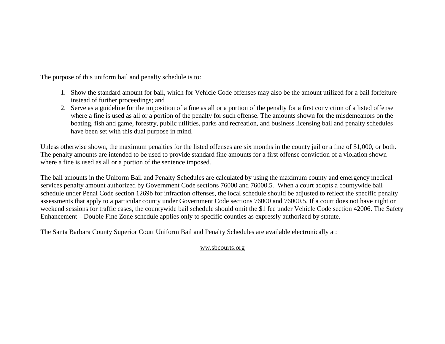The purpose of this uniform bail and penalty schedule is to:

- 1. Show the standard amount for bail, which for Vehicle Code offenses may also be the amount utilized for a bail forfeiture instead of further proceedings; and
- 2. Serve as a guideline for the imposition of a fine as all or a portion of the penalty for a first conviction of a listed offense where a fine is used as all or a portion of the penalty for such offense. The amounts shown for the misdemeanors on the boating, fish and game, forestry, public utilities, parks and recreation, and business licensing bail and penalty schedules have been set with this dual purpose in mind.

Unless otherwise shown, the maximum penalties for the listed offenses are six months in the county jail or a fine of \$1,000, or both. The penalty amounts are intended to be used to provide standard fine amounts for a first offense conviction of a violation shown where a fine is used as all or a portion of the sentence imposed.

The bail amounts in the Uniform Bail and Penalty Schedules are calculated by using the maximum county and emergency medical services penalty amount authorized by Government Code sections 76000 and 76000.5. When a court adopts a countywide bail schedule under Penal Code section 1269b for infraction offenses, the local schedule should be adjusted to reflect the specific penalty assessments that apply to a particular county under Government Code sections 76000 and 76000.5. If a court does not have night or weekend sessions for traffic cases, the countywide bail schedule should omit the \$1 fee under Vehicle Code section 42006. The Safety Enhancement – Double Fine Zone schedule applies only to specific counties as expressly authorized by statute.

The Santa Barbara County Superior Court Uniform Bail and Penalty Schedules are available electronically at:

# ww.sbcourts.org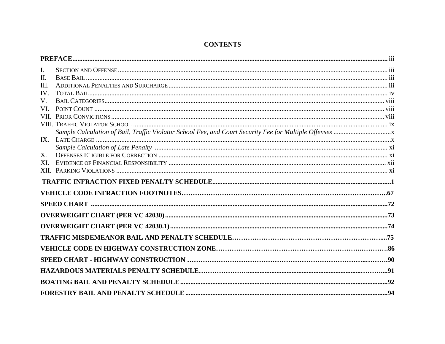| I.   |  |
|------|--|
| II.  |  |
| III. |  |
| IV.  |  |
| V.   |  |
| VL.  |  |
|      |  |
|      |  |
|      |  |
|      |  |
|      |  |
| X.   |  |
| XL.  |  |
|      |  |
|      |  |
|      |  |
|      |  |
|      |  |
|      |  |
|      |  |
|      |  |
|      |  |
|      |  |
|      |  |
|      |  |
|      |  |

# **CONTENTS**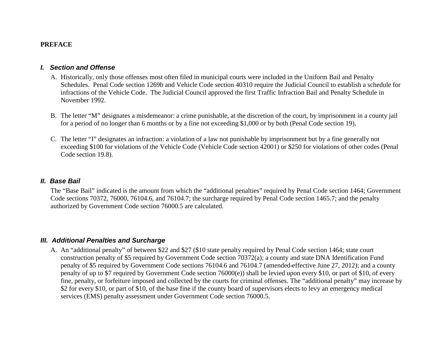#### **PREFACE**

#### *I. Section and Offense*

- A. Historically, only those offenses most often filed in municipal courts were included in the Uniform Bail and Penalty Schedules. Penal Code section 1269b and Vehicle Code section 40310 require the Judicial Council to establish a schedule for infractions of the Vehicle Code. The Judicial Council approved the first Traffic Infraction Bail and Penalty Schedule in November 1992.
- B. The letter "M" designates a misdemeanor: a crime punishable, at the discretion of the court, by imprisonment in a county jail for a period of no longer than 6 months or by a fine not exceeding \$1,000 or by both (Penal Code section 19).
- C. The letter "I" designates an infraction: a violation of a law not punishable by imprisonment but by a fine generally not exceeding \$100 for violations of the Vehicle Code (Vehicle Code section 42001) or \$250 for violations of other codes (Penal Code section 19.8).

#### *II. Base Bail*

The "Base Bail" indicated is the amount from which the "additional penalties" required by Penal Code section 1464; Government Code sections 70372, 76000, 76104.6, and 76104.7; the surcharge required by Penal Code section 1465.7; and the penalty authorized by Government Code section 76000.5 are calculated.

#### *III. Additional Penalties and Surcharge*

A. An "additional penalty" of between \$22 and \$27 (\$10 state penalty required by Penal Code section 1464; state court construction penalty of \$5 required by Government Code section 70372(a); a county and state DNA Identification Fund penalty of \$5 required by Government Code sections 76104.6 and 76104.7 (amended effective June 27, 2012); and a county penalty of up to \$7 required by Government Code section 76000(e)) shall be levied upon every \$10, or part of \$10, of every fine, penalty, or forfeiture imposed and collected by the courts for criminal offenses. The "additional penalty" may increase by \$2 for every \$10, or part of \$10, of the base fine if the county board of supervisors elects to levy an emergency medical services (EMS) penalty assessment under Government Code section 76000.5.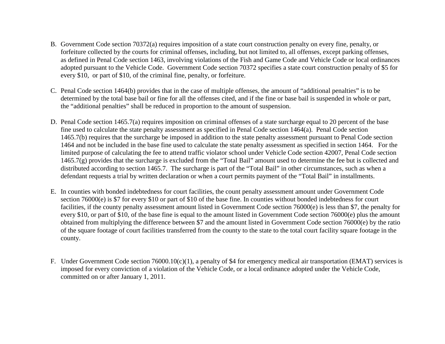- B. Government Code section 70372(a) requires imposition of a state court construction penalty on every fine, penalty, or forfeiture collected by the courts for criminal offenses, including, but not limited to, all offenses, except parking offenses, as defined in Penal Code section 1463, involving violations of the Fish and Game Code and Vehicle Code or local ordinances adopted pursuant to the Vehicle Code. Government Code section 70372 specifies a state court construction penalty of \$5 for every \$10, or part of \$10, of the criminal fine, penalty, or forfeiture.
- C. Penal Code section 1464(b) provides that in the case of multiple offenses, the amount of "additional penalties" is to be determined by the total base bail or fine for all the offenses cited, and if the fine or base bail is suspended in whole or part, the "additional penalties" shall be reduced in proportion to the amount of suspension.
- D. Penal Code section 1465.7(a) requires imposition on criminal offenses of a state surcharge equal to 20 percent of the base fine used to calculate the state penalty assessment as specified in Penal Code section 1464(a). Penal Code section 1465.7(b) requires that the surcharge be imposed in addition to the state penalty assessment pursuant to Penal Code section 1464 and not be included in the base fine used to calculate the state penalty assessment as specified in section 1464. For the limited purpose of calculating the fee to attend traffic violator school under Vehicle Code section 42007, Penal Code section 1465.7(g) provides that the surcharge is excluded from the "Total Bail" amount used to determine the fee but is collected and distributed according to section 1465.7. The surcharge is part of the "Total Bail" in other circumstances, such as when a defendant requests a trial by written declaration or when a court permits payment of the "Total Bail" in installments.
- E. In counties with bonded indebtedness for court facilities, the count penalty assessment amount under Government Code section 76000(e) is \$7 for every \$10 or part of \$10 of the base fine. In counties without bonded indebtedness for court facilities, if the county penalty assessment amount listed in Government Code section 76000(e) is less than \$7, the penalty for every \$10, or part of \$10, of the base fine is equal to the amount listed in Government Code section 76000(e) plus the amount obtained from multiplying the difference between \$7 and the amount listed in Government Code section 76000(e) by the ratio of the square footage of court facilities transferred from the county to the state to the total court facility square footage in the county.
- F. Under Government Code section 76000.10(c)(1), a penalty of \$4 for emergency medical air transportation (EMAT) services is imposed for every conviction of a violation of the Vehicle Code, or a local ordinance adopted under the Vehicle Code, committed on or after January 1, 2011.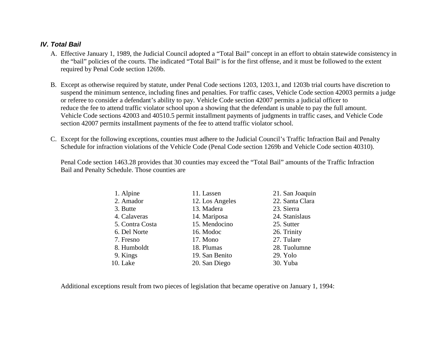# *IV. Total Bail*

- A. Effective January 1, 1989, the Judicial Council adopted a "Total Bail" concept in an effort to obtain statewide consistency in the "bail" policies of the courts. The indicated "Total Bail" is for the first offense, and it must be followed to the extent required by Penal Code section 1269b.
- B. Except as otherwise required by statute, under Penal Code sections 1203, 1203.1, and 1203b trial courts have discretion to suspend the minimum sentence, including fines and penalties. For traffic cases, Vehicle Code section 42003 permits a judge or referee to consider a defendant's ability to pay. Vehicle Code section 42007 permits a judicial officer to reduce the fee to attend traffic violator school upon a showing that the defendant is unable to pay the full amount. Vehicle Code sections 42003 and 40510.5 permit installment payments of judgments in traffic cases, and Vehicle Code section 42007 permits installment payments of the fee to attend traffic violator school.
- C. Except for the following exceptions, counties must adhere to the Judicial Council's Traffic Infraction Bail and Penalty Schedule for infraction violations of the Vehicle Code (Penal Code section 1269b and Vehicle Code section 40310).

Penal Code section 1463.28 provides that 30 counties may exceed the "Total Bail" amounts of the Traffic Infraction Bail and Penalty Schedule. Those counties are

| 1. Alpine       | 11. Lassen      | 21. San Joaquin |
|-----------------|-----------------|-----------------|
| 2. Amador       | 12. Los Angeles | 22. Santa Clara |
| 3. Butte        | 13. Madera      | 23. Sierra      |
| 4. Calaveras    | 14. Mariposa    | 24. Stanislaus  |
| 5. Contra Costa | 15. Mendocino   | 25. Sutter      |
| 6. Del Norte    | 16. Modoc       | 26. Trinity     |
| 7. Fresno       | 17. Mono        | 27. Tulare      |
| 8. Humboldt     | 18. Plumas      | 28. Tuolumne    |
| 9. Kings        | 19. San Benito  | 29. Yolo        |
| 10. Lake        | 20. San Diego   | 30. Yuba        |

Additional exceptions result from two pieces of legislation that became operative on January 1, 1994: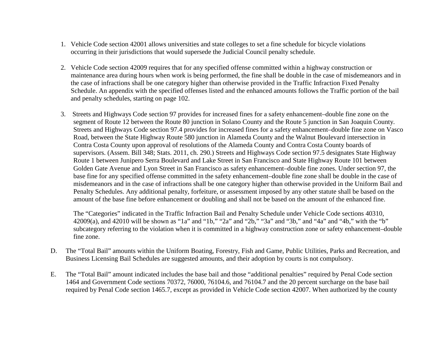- 1. Vehicle Code section 42001 allows universities and state colleges to set a fine schedule for bicycle violations occurring in their jurisdictions that would supersede the Judicial Council penalty schedule.
- 2. Vehicle Code section 42009 requires that for any specified offense committed within a highway construction or maintenance area during hours when work is being performed, the fine shall be double in the case of misdemeanors and in the case of infractions shall be one category higher than otherwise provided in the Traffic Infraction Fixed Penalty Schedule. An appendix with the specified offenses listed and the enhanced amounts follows the Traffic portion of the bail and penalty schedules, starting on page 102.
- 3. Streets and Highways Code section 97 provides for increased fines for a safety enhancement–double fine zone on the segment of Route 12 between the Route 80 junction in Solano County and the Route 5 junction in San Joaquin County. Streets and Highways Code section 97.4 provides for increased fines for a safety enhancement–double fine zone on Vasco Road, between the State Highway Route 580 junction in Alameda County and the Walnut Boulevard intersection in Contra Costa County upon approval of resolutions of the Alameda County and Contra Costa County boards of supervisors. (Assem. Bill 348; Stats. 2011, ch. 290.) Streets and Highways Code section 97.5 designates State Highway Route 1 between Junipero Serra Boulevard and Lake Street in San Francisco and State Highway Route 101 between Golden Gate Avenue and Lyon Street in San Francisco as safety enhancement–double fine zones. Under section 97, the base fine for any specified offense committed in the safety enhancement–double fine zone shall be double in the case of misdemeanors and in the case of infractions shall be one category higher than otherwise provided in the Uniform Bail and Penalty Schedules. Any additional penalty, forfeiture, or assessment imposed by any other statute shall be based on the amount of the base fine before enhancement or doubling and shall not be based on the amount of the enhanced fine.

The "Categories" indicated in the Traffic Infraction Bail and Penalty Schedule under Vehicle Code sections 40310, 42009(a), and 42010 will be shown as "1a" and "1b," "2a" and "2b," "3a" and "3b," and "4a" and "4b," with the "b" subcategory referring to the violation when it is committed in a highway construction zone or safety enhancement–double fine zone.

- D. The "Total Bail" amounts within the Uniform Boating, Forestry, Fish and Game, Public Utilities, Parks and Recreation, and Business Licensing Bail Schedules are suggested amounts, and their adoption by courts is not compulsory.
- E. The "Total Bail" amount indicated includes the base bail and those "additional penalties" required by Penal Code section 1464 and Government Code sections 70372, 76000, 76104.6, and 76104.7 and the 20 percent surcharge on the base bail required by Penal Code section 1465.7, except as provided in Vehicle Code section 42007. When authorized by the county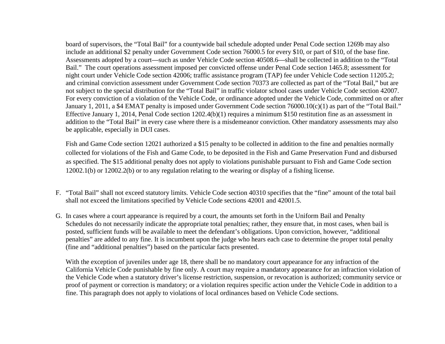board of supervisors, the "Total Bail" for a countywide bail schedule adopted under Penal Code section 1269b may also include an additional \$2 penalty under Government Code section 76000.5 for every \$10, or part of \$10, of the base fine. Assessments adopted by a court—such as under Vehicle Code section 40508.6—shall be collected in addition to the "Total Bail." The court operations assessment imposed per convicted offense under Penal Code section 1465.8; assessment for night court under Vehicle Code section 42006; traffic assistance program (TAP) fee under Vehicle Code section 11205.2; and criminal conviction assessment under Government Code section 70373 are collected as part of the "Total Bail," but are not subject to the special distribution for the "Total Bail" in traffic violator school cases under Vehicle Code section 42007. For every conviction of a violation of the Vehicle Code, or ordinance adopted under the Vehicle Code, committed on or after January 1, 2011, a \$4 EMAT penalty is imposed under Government Code section 76000.10(c)(1) as part of the "Total Bail." Effective January 1, 2014, Penal Code section 1202.4(b)(1) requires a minimum \$150 restitution fine as an assessment in addition to the "Total Bail" in every case where there is a misdemeanor conviction. Other mandatory assessments may also be applicable, especially in DUI cases.

Fish and Game Code section 12021 authorized a \$15 penalty to be collected in addition to the fine and penalties normally collected for violations of the Fish and Game Code, to be deposited in the Fish and Game Preservation Fund and disbursed as specified. The \$15 additional penalty does not apply to violations punishable pursuant to Fish and Game Code section 12002.1(b) or 12002.2(b) or to any regulation relating to the wearing or display of a fishing license.

- F. "Total Bail" shall not exceed statutory limits. Vehicle Code section 40310 specifies that the "fine" amount of the total bail shall not exceed the limitations specified by Vehicle Code sections 42001 and 42001.5.
- G. In cases where a court appearance is required by a court, the amounts set forth in the Uniform Bail and Penalty Schedules do not necessarily indicate the appropriate total penalties; rather, they ensure that, in most cases, when bail is posted, sufficient funds will be available to meet the defendant's obligations. Upon conviction, however, "additional penalties" are added to any fine. It is incumbent upon the judge who hears each case to determine the proper total penalty (fine and "additional penalties") based on the particular facts presented.

With the exception of juveniles under age 18, there shall be no mandatory court appearance for any infraction of the California Vehicle Code punishable by fine only. A court may require a mandatory appearance for an infraction violation of the Vehicle Code when a statutory driver's license restriction, suspension, or revocation is authorized; community service or proof of payment or correction is mandatory; or a violation requires specific action under the Vehicle Code in addition to a fine. This paragraph does not apply to violations of local ordinances based on Vehicle Code sections.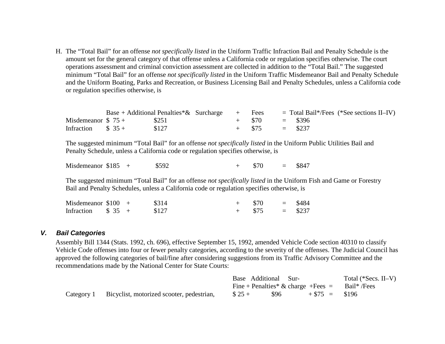H. The "Total Bail" for an offense *not specifically listed* in the Uniform Traffic Infraction Bail and Penalty Schedule is the amount set for the general category of that offense unless a California code or regulation specifies otherwise. The court operations assessment and criminal conviction assessment are collected in addition to the "Total Bail." The suggested minimum "Total Bail" for an offense *not specifically listed* in the Uniform Traffic Misdemeanor Bail and Penalty Schedule and the Uniform Boating, Parks and Recreation, or Business Licensing Bail and Penalty Schedules, unless a California code or regulation specifies otherwise, is

|                      |  | Base + Additional Penalties $\&$ Surcharge + Fees |  |                  | $=$ Total Bail*/Fees (*See sections II–IV) |  |
|----------------------|--|---------------------------------------------------|--|------------------|--------------------------------------------|--|
| Misdemeanor $$75 +$  |  | \$251                                             |  | $+$ \$70 = \$396 |                                            |  |
| Infraction $\$$ 35 + |  | \$127                                             |  | $+$ \$75 = \$237 |                                            |  |

 The suggested minimum "Total Bail" for an offense *not specifically listed* in the Uniform Public Utilities Bail and Penalty Schedule, unless a California code or regulation specifies otherwise, is

Misdemeanor \$185 +  $$592$  +  $$70 = $847$ 

 The suggested minimum "Total Bail" for an offense *not specifically listed* in the Uniform Fish and Game or Forestry Bail and Penalty Schedules, unless a California code or regulation specifies otherwise, is

| Misdemeanor $$100 +$             |  | \$314 | $+$ \$70 |           | $=$ \$484 |
|----------------------------------|--|-------|----------|-----------|-----------|
| Infraction $\frac{1}{2}$ \$ 35 + |  | \$127 | $+$ \$75 | $=$ \$237 |           |

#### *V. Bail Categories*

Assembly Bill 1344 (Stats. 1992, ch. 696), effective September 15, 1992, amended Vehicle Code section 40310 to classify Vehicle Code offenses into four or fewer penalty categories, according to the severity of the offenses. The Judicial Council has approved the following categories of bail/fine after considering suggestions from its Traffic Advisory Committee and the recommendations made by the National Center for State Courts:

|                                                      |        | Base Additional Sur- |                                                    | Total (*Secs. II–V) |
|------------------------------------------------------|--------|----------------------|----------------------------------------------------|---------------------|
|                                                      |        |                      | Fine + Penalties* & charge + Fees $=$ Bail* / Fees |                     |
| Category 1 Bicyclist, motorized scooter, pedestrian, | $$25+$ | 896                  | $+ $75 = $196$                                     |                     |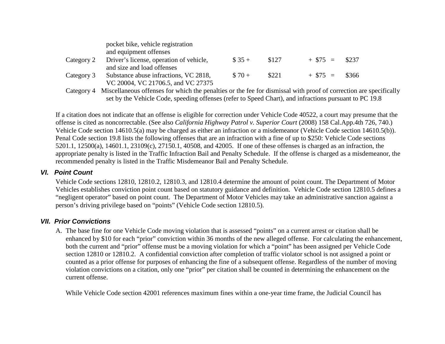|            | pocket bike, vehicle registration                                                                             |         |       |                  |  |
|------------|---------------------------------------------------------------------------------------------------------------|---------|-------|------------------|--|
|            | and equipment offenses                                                                                        |         |       |                  |  |
| Category 2 | Driver's license, operation of vehicle,                                                                       | $\$35+$ | \$127 | $+ $75 = $237$   |  |
|            | and size and load offenses                                                                                    |         |       |                  |  |
| Category 3 | Substance abuse infractions, VC 2818,                                                                         | $$70+$  | \$221 | $+$ \$75 = \$366 |  |
|            | VC 20004, VC 21706.5, and VC 27375                                                                            |         |       |                  |  |
|            | Catagory A. Micaellangers offenses for which the nonelties on the fee fan dismissed with number of counselian |         |       |                  |  |

Category 4 Miscellaneous offenses for which the penalties or the fee for dismissal with proof of correction are specifically set by the Vehicle Code, speeding offenses (refer to Speed Chart), and infractions pursuant to PC 19.8

If a citation does not indicate that an offense is eligible for correction under Vehicle Code 40522, a court may presume that the offense is cited as noncorrectable. (See also *California Highway Patrol v. Superior Court* (2008) 158 Cal.App.4th 726, 740.) Vehicle Code section 14610.5(a) may be charged as either an infraction or a misdemeanor (Vehicle Code section 14610.5(b)). Penal Code section 19.8 lists the following offenses that are an infraction with a fine of up to \$250: Vehicle Code sections 5201.1, 12500(a), 14601.1, 23109(c), 27150.1, 40508, and 42005. If one of these offenses is charged as an infraction, the appropriate penalty is listed in the Traffic Infraction Bail and Penalty Schedule. If the offense is charged as a misdemeanor, the recommended penalty is listed in the Traffic Misdemeanor Bail and Penalty Schedule.

# *VI. Point Count*

Vehicle Code sections 12810, 12810.2, 12810.3, and 12810.4 determine the amount of point count. The Department of Motor Vehicles establishes conviction point count based on statutory guidance and definition. Vehicle Code section 12810.5 defines a "negligent operator" based on point count. The Department of Motor Vehicles may take an administrative sanction against a person's driving privilege based on "points" (Vehicle Code section 12810.5).

# *VII. Prior Convictions*

A. The base fine for one Vehicle Code moving violation that is assessed "points" on a current arrest or citation shall be enhanced by \$10 for each "prior" conviction within 36 months of the new alleged offense. For calculating the enhancement, both the current and "prior" offense must be a moving violation for which a "point" has been assigned per Vehicle Code section 12810 or 12810.2. A confidential conviction after completion of traffic violator school is not assigned a point or counted as a prior offense for purposes of enhancing the fine of a subsequent offense. Regardless of the number of moving violation convictions on a citation, only one "prior" per citation shall be counted in determining the enhancement on the current offense.

While Vehicle Code section 42001 references maximum fines within a one-year time frame, the Judicial Council has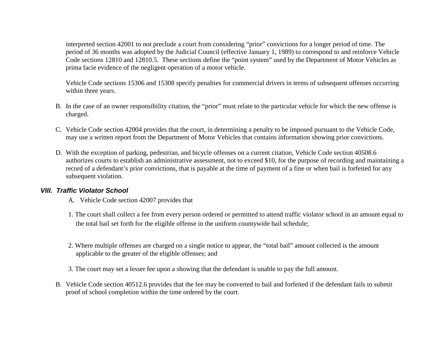interpreted section 42001 to not preclude a court from considering "prior" convictions for a longer period of time. The period of 36 months was adopted by the Judicial Council (effective January 1, 1989) to correspond to and reinforce Vehicle Code sections 12810 and 12810.5. These sections define the "point system" used by the Department of Motor Vehicles as prima facie evidence of the negligent operation of a motor vehicle.

Vehicle Code sections 15306 and 15308 specify penalties for commercial drivers in terms of subsequent offenses occurring within three years.

- B. In the case of an owner responsibility citation, the "prior" must relate to the particular vehicle for which the new offense is charged.
- C. Vehicle Code section 42004 provides that the court, in determining a penalty to be imposed pursuant to the Vehicle Code, may use a written report from the Department of Motor Vehicles that contains information showing prior convictions.
- D. With the exception of parking, pedestrian, and bicycle offenses on a current citation, Vehicle Code section 40508.6 authorizes courts to establish an administrative assessment, not to exceed \$10, for the purpose of recording and maintaining a record of a defendant's prior convictions, that is payable at the time of payment of a fine or when bail is forfeited for any subsequent violation.

# *VIII. Traffic Violator School*

- A. Vehicle Code section 42007 provides that
- 1. The court shall collect a fee from every person ordered or permitted to attend traffic violator school in an amount equal to the total bail set forth for the eligible offense in the uniform countywide bail schedule;
- 2. Where multiple offenses are charged on a single notice to appear, the "total bail" amount collected is the amount applicable to the greater of the eligible offenses; and
- 3. The court may set a lesser fee upon a showing that the defendant is unable to pay the full amount.
- B. Vehicle Code section 40512.6 provides that the fee may be converted to bail and forfeited if the defendant fails to submit proof of school completion within the time ordered by the court.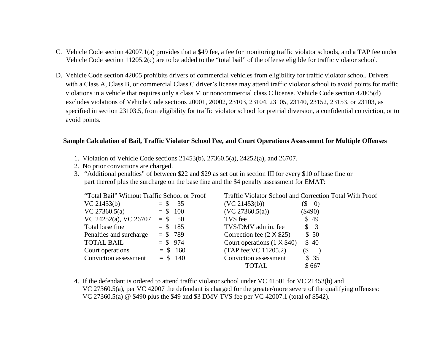- C. Vehicle Code section 42007.1(a) provides that a \$49 fee, a fee for monitoring traffic violator schools, and a TAP fee under Vehicle Code section 11205.2(c) are to be added to the "total bail" of the offense eligible for traffic violator school.
- D. Vehicle Code section 42005 prohibits drivers of commercial vehicles from eligibility for traffic violator school. Drivers with a Class A, Class B, or commercial Class C driver's license may attend traffic violator school to avoid points for traffic violations in a vehicle that requires only a class M or noncommercial class C license. Vehicle Code section 42005(d) excludes violations of Vehicle Code sections 20001, 20002, 23103, 23104, 23105, 23140, 23152, 23153, or 23103, as specified in section 23103.5, from eligibility for traffic violator school for pretrial diversion, a confidential conviction, or to avoid points.

#### **Sample Calculation of Bail, Traffic Violator School Fee, and Court Operations Assessment for Multiple Offenses**

- 1. Violation of Vehicle Code sections 21453(b), 27360.5(a), 24252(a), and 26707.
- 2. No prior convictions are charged.
- 3. "Additional penalties" of between \$22 and \$29 as set out in section III for every \$10 of base fine or part thereof plus the surcharge on the base fine and the \$4 penalty assessment for EMAT:

| "Total Bail" Without Traffic School or Proof |            |                                   | Traffic Violator School and Correction Total With Proof |
|----------------------------------------------|------------|-----------------------------------|---------------------------------------------------------|
| VC 21453(b)                                  | $=$ \$ 35  | (VC 21453(b))                     | $\left( \mathbb{S}\right)$<br>$\left( 0\right)$         |
| VC $27360.5(a)$                              | $=$ \$ 100 | (VC 27360.5(a))                   | $(\$490)$                                               |
| $VC 24252(a)$ , $VC 26707 = $50$             |            | TVS fee                           | \$49                                                    |
| Total base fine                              | $= $185$   | TVS/DMV admin. fee                | $\frac{1}{2}$                                           |
| Penalties and surcharge                      | $= $789$   | Correction fee $(2 \times $25)$   | \$50                                                    |
| <b>TOTAL BAIL</b>                            | $= $974$   | Court operations $(1 \times $40)$ | \$40                                                    |
| Court operations                             | $=$ \$ 160 | (TAP fee; VC 11205.2)             | $\left( \text{\$} \right)$                              |
| <b>Conviction</b> assessment                 | $=$ \$ 140 | Conviction assessment             | \$35                                                    |
|                                              |            | TOTAL                             | \$667                                                   |

4. If the defendant is ordered to attend traffic violator school under VC 41501 for VC 21453(b) and VC 27360.5(a), per VC 42007 the defendant is charged for the greater/more severe of the qualifying offenses: VC 27360.5(a) @ \$490 plus the \$49 and \$3 DMV TVS fee per VC 42007.1 (total of \$542).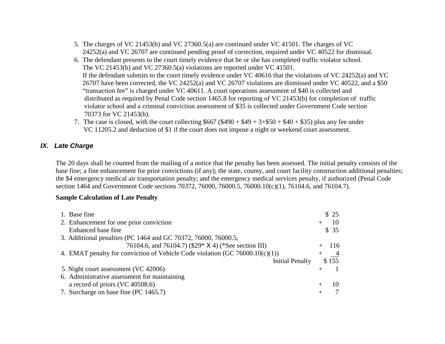- 5. The charges of VC 21453(b) and VC 27360.5(a) are continued under VC 41501. The charges of VC 24252(a) and VC 26707 are continued pending proof of correction, required under VC 40522 for dismissal.
- 6. The defendant presents to the court timely evidence that he or she has completed traffic violator school. The VC 21453(b) and VC 27360.5(a) violations are reported under VC 41501. If the defendant submits to the court timely evidence under VC 40616 that the violations of VC 24252(a) and VC 26707 have been corrected, the VC 24252(a) and VC 26707 violations are dismissed under VC 40522, and a \$50 "transaction fee" is charged under VC 40611. A court operations assessment of \$40 is collected and distributed as required by Penal Code section 1465.8 for reporting of VC 21453(b) for completion of traffic violator school and a criminal conviction assessment of \$35 is collected under Government Code section 70373 for VC 21453(b).
- 7. The case is closed, with the court collecting  $$667$  (\$490 + \$49 + 3+\$50 + \$40 + \$35) plus any fee under VC 11205.2 and deduction of \$1 if the court does not impose a night or weekend court assessment.

# *IX. Late Charge*

The 20 days shall be counted from the mailing of a notice that the penalty has been assessed. The initial penalty consists of the base fine; a fine enhancement for prior convictions (if any); the state, county, and court facility construction additional penalties; the \$4 emergency medical air transportation penalty; and the emergency medical services penalty, if authorized (Penal Code section 1464 and Government Code sections 70372, 76000, 76000.5, 76000.10(c)(1), 76104.6, and 76104.7).

#### **Sample Calculation of Late Penalty**

| 1. Base fine                                                                 | \$25           |
|------------------------------------------------------------------------------|----------------|
| 2. Enhancement for one prior conviction                                      | 10             |
| Enhanced base fine                                                           | \$35           |
| 3. Additional penalties (PC 1464 and GC 70372, 76000, 76000.5,               |                |
| 76104.6, and 76104.7) (\$29* X 4) (*See section III)                         | -116           |
| 4. EMAT penalty for conviction of Vehicle Code violation (GC 76000.10(c)(1)) | $\overline{4}$ |
| <b>Initial Penalty</b>                                                       | \$155          |
| 5. Night court assessment (VC 42006)                                         |                |
| 6. Administrative assessment for maintaining                                 |                |
| a record of priors (VC 40508.6)                                              | 10             |
| 7. Surcharge on base fine (PC 1465.7)                                        |                |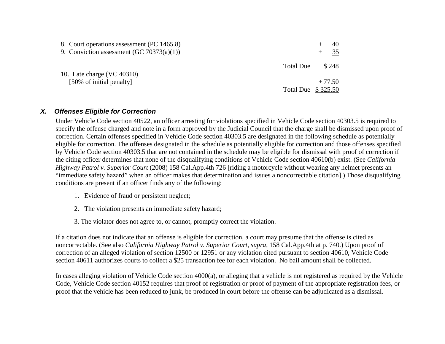| 8. Court operations assessment (PC 1465.8)<br>9. Conviction assessment (GC 70373(a)(1)) |                    | 40<br>35 |
|-----------------------------------------------------------------------------------------|--------------------|----------|
| 10. Late charge (VC 40310)                                                              | Total Due          | \$248    |
| [50% of initial penalty]                                                                | Total Due \$325.50 | $+77.50$ |

### *X. Offenses Eligible for Correction*

Under Vehicle Code section 40522, an officer arresting for violations specified in Vehicle Code section 40303.5 is required to specify the offense charged and note in a form approved by the Judicial Council that the charge shall be dismissed upon proof of correction. Certain offenses specified in Vehicle Code section 40303.5 are designated in the following schedule as potentially eligible for correction. The offenses designated in the schedule as potentially eligible for correction and those offenses specified by Vehicle Code section 40303.5 that are not contained in the schedule may be eligible for dismissal with proof of correction if the citing officer determines that none of the disqualifying conditions of Vehicle Code section 40610(b) exist. (See *California Highway Patrol v. Superior Court* (2008) 158 Cal.App.4th 726 [riding a motorcycle without wearing any helmet presents an "immediate safety hazard" when an officer makes that determination and issues a noncorrectable citation].) Those disqualifying conditions are present if an officer finds any of the following:

- 1. Evidence of fraud or persistent neglect;
- 2. The violation presents an immediate safety hazard;
- 3. The violator does not agree to, or cannot, promptly correct the violation.

If a citation does not indicate that an offense is eligible for correction, a court may presume that the offense is cited as noncorrectable. (See also *California Highway Patrol v. Superior Court, supra,* 158 Cal.App.4th at p. 740.) Upon proof of correction of an alleged violation of section 12500 or 12951 or any violation cited pursuant to section 40610, Vehicle Code section 40611 authorizes courts to collect a \$25 transaction fee for each violation. No bail amount shall be collected.

In cases alleging violation of Vehicle Code section 4000(a), or alleging that a vehicle is not registered as required by the Vehicle Code, Vehicle Code section 40152 requires that proof of registration or proof of payment of the appropriate registration fees, or proof that the vehicle has been reduced to junk, be produced in court before the offense can be adjudicated as a dismissal.